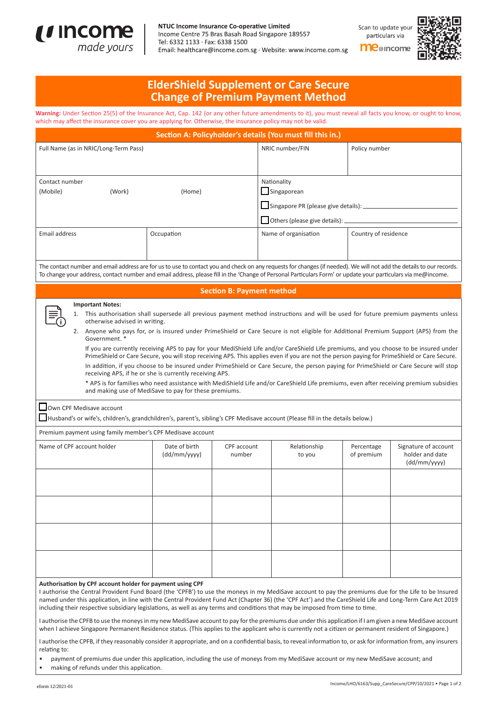

## NTUC Income Insurance Co-operative Limited

Income Centre 75 Bras Basah Road Singapore 189557 Tel: 6332 1133 · Fax: 6338 1500 Email: healthcare@income.com.sg · Website: www.income.com.sg Scan to update your particulars via

**Me**@income



## **ElderShield Supplement or Care Secure Change of Premium Payment Method**

Warning: Under Section 25(5) of the Insurance Act, Cap. 142 (or any other future amendments to it), you must reveal all facts you know, or ought to know, which may affect the insurance cover you are applying for. Otherwise, the insurance policy may not be valid.

| Section A: Policyholder's details (You must fill this in.)                                                                                                                                                                                                                                                                                                                                                                                                                                                                                                                                                                                                                                                                                                                                                                                                                                                                                                                                                                                              |                               |                       |                                             |                          |                                                         |  |
|---------------------------------------------------------------------------------------------------------------------------------------------------------------------------------------------------------------------------------------------------------------------------------------------------------------------------------------------------------------------------------------------------------------------------------------------------------------------------------------------------------------------------------------------------------------------------------------------------------------------------------------------------------------------------------------------------------------------------------------------------------------------------------------------------------------------------------------------------------------------------------------------------------------------------------------------------------------------------------------------------------------------------------------------------------|-------------------------------|-----------------------|---------------------------------------------|--------------------------|---------------------------------------------------------|--|
| Full Name (as in NRIC/Long-Term Pass)                                                                                                                                                                                                                                                                                                                                                                                                                                                                                                                                                                                                                                                                                                                                                                                                                                                                                                                                                                                                                   |                               | NRIC number/FIN       | Policy number                               |                          |                                                         |  |
| Contact number<br>(Mobile)<br>(Work)<br>(Home)                                                                                                                                                                                                                                                                                                                                                                                                                                                                                                                                                                                                                                                                                                                                                                                                                                                                                                                                                                                                          |                               |                       | Nationality<br>Singaporean                  |                          |                                                         |  |
|                                                                                                                                                                                                                                                                                                                                                                                                                                                                                                                                                                                                                                                                                                                                                                                                                                                                                                                                                                                                                                                         |                               |                       | Singapore PR (please give details): _______ |                          |                                                         |  |
|                                                                                                                                                                                                                                                                                                                                                                                                                                                                                                                                                                                                                                                                                                                                                                                                                                                                                                                                                                                                                                                         |                               |                       | Others (please give details): $\_\$         |                          |                                                         |  |
| Email address                                                                                                                                                                                                                                                                                                                                                                                                                                                                                                                                                                                                                                                                                                                                                                                                                                                                                                                                                                                                                                           | Occupation                    |                       | Name of organisation                        | Country of residence     |                                                         |  |
| The contact number and email address are for us to use to contact you and check on any requests for changes (if needed). We will not add the details to our records.<br>To change your address, contact number and email address, please fill in the 'Change of Personal Particulars Form' or update your particulars via me@income.                                                                                                                                                                                                                                                                                                                                                                                                                                                                                                                                                                                                                                                                                                                    |                               |                       |                                             |                          |                                                         |  |
| <b>Section B: Payment method</b>                                                                                                                                                                                                                                                                                                                                                                                                                                                                                                                                                                                                                                                                                                                                                                                                                                                                                                                                                                                                                        |                               |                       |                                             |                          |                                                         |  |
| <b>Important Notes:</b><br>1. This authorisation shall supersede all previous payment method instructions and will be used for future premium payments unless<br>otherwise advised in writing.<br>2. Anyone who pays for, or is insured under PrimeShield or Care Secure is not eligible for Additional Premium Support (APS) from the<br>Government. *<br>If you are currently receiving APS to pay for your MediShield Life and/or CareShield Life premiums, and you choose to be insured under<br>PrimeShield or Care Secure, you will stop receiving APS. This applies even if you are not the person paying for PrimeShield or Care Secure.<br>In addition, if you choose to be insured under PrimeShield or Care Secure, the person paying for PrimeShield or Care Secure will stop<br>receiving APS, if he or she is currently receiving APS.<br>* APS is for families who need assistance with MediShield Life and/or CareShield Life premiums, even after receiving premium subsidies<br>and making use of MediSave to pay for these premiums. |                               |                       |                                             |                          |                                                         |  |
| □ Own CPF Medisave account<br>Husband's or wife's, children's, grandchildren's, parent's, sibling's CPF Medisave account (Please fill in the details below.)                                                                                                                                                                                                                                                                                                                                                                                                                                                                                                                                                                                                                                                                                                                                                                                                                                                                                            |                               |                       |                                             |                          |                                                         |  |
| Premium payment using family member's CPF Medisave account                                                                                                                                                                                                                                                                                                                                                                                                                                                                                                                                                                                                                                                                                                                                                                                                                                                                                                                                                                                              |                               |                       |                                             |                          |                                                         |  |
| Name of CPF account holder                                                                                                                                                                                                                                                                                                                                                                                                                                                                                                                                                                                                                                                                                                                                                                                                                                                                                                                                                                                                                              | Date of birth<br>(dd/mm/yyyy) | CPF account<br>number | Relationship<br>to you                      | Percentage<br>of premium | Signature of account<br>holder and date<br>(dd/mm/yyyy) |  |
|                                                                                                                                                                                                                                                                                                                                                                                                                                                                                                                                                                                                                                                                                                                                                                                                                                                                                                                                                                                                                                                         |                               |                       |                                             |                          |                                                         |  |
|                                                                                                                                                                                                                                                                                                                                                                                                                                                                                                                                                                                                                                                                                                                                                                                                                                                                                                                                                                                                                                                         |                               |                       |                                             |                          |                                                         |  |
|                                                                                                                                                                                                                                                                                                                                                                                                                                                                                                                                                                                                                                                                                                                                                                                                                                                                                                                                                                                                                                                         |                               |                       |                                             |                          |                                                         |  |
| Authorisation by CPF account holder for payment using CPF<br>I authorise the Central Provident Fund Board (the 'CPFB') to use the moneys in my MediSave account to pay the premiums due for the Life to be Insured<br>named under this application, in line with the Central Provident Fund Act (Chapter 36) (the 'CPF Act') and the CareShield Life and Long-Term Care Act 2019<br>including their respective subsidiary legislations, as well as any terms and conditions that may be imposed from time to time.                                                                                                                                                                                                                                                                                                                                                                                                                                                                                                                                      |                               |                       |                                             |                          |                                                         |  |
| I authorise the CPFB to use the moneys in my new MediSave account to pay for the premiums due under this application if I am given a new MediSave account<br>when I achieve Singapore Permanent Residence status. (This applies to the applicant who is currently not a citizen or permanent resident of Singapore.)<br>I authorise the CPFB, if they reasonably consider it appropriate, and on a confidential basis, to reveal information to, or ask for information from, any insurers                                                                                                                                                                                                                                                                                                                                                                                                                                                                                                                                                              |                               |                       |                                             |                          |                                                         |  |

relating to:

payment of premiums due under this application, including the use of moneys from my MediSave account or my new MediSave account; and

making of refunds under this application.